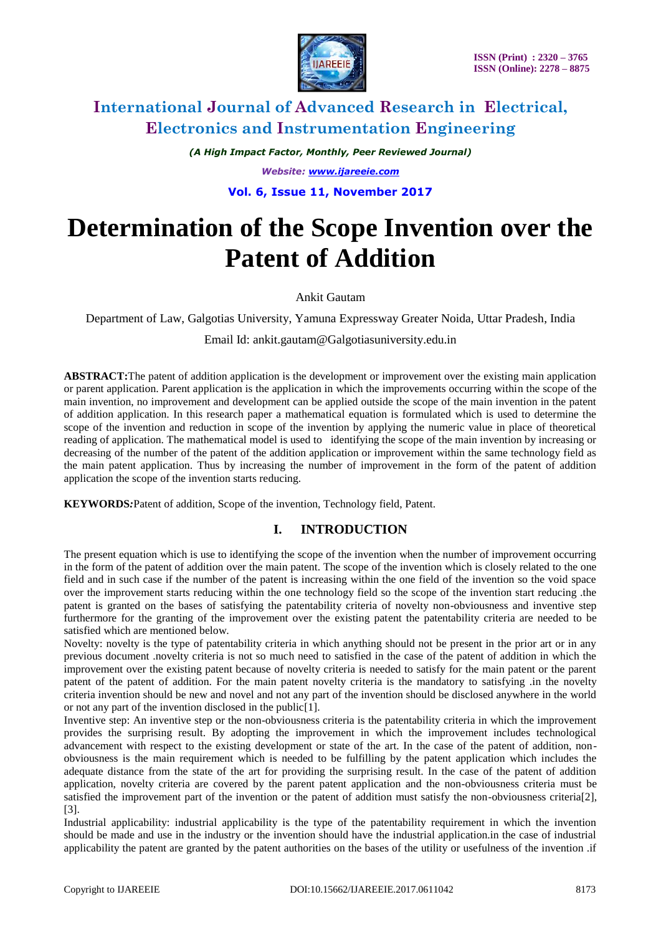

*(A High Impact Factor, Monthly, Peer Reviewed Journal) Website: [www.ijareeie.com](http://www.ijareeie.com/)* **Vol. 6, Issue 11, November 2017**

# **Determination of the Scope Invention over the Patent of Addition**

Ankit Gautam

Department of Law, Galgotias University, Yamuna Expressway Greater Noida, Uttar Pradesh, India

Email Id: ankit.gautam@Galgotiasuniversity.edu.in

**ABSTRACT:**The patent of addition application is the development or improvement over the existing main application or parent application. Parent application is the application in which the improvements occurring within the scope of the main invention, no improvement and development can be applied outside the scope of the main invention in the patent of addition application. In this research paper a mathematical equation is formulated which is used to determine the scope of the invention and reduction in scope of the invention by applying the numeric value in place of theoretical reading of application. The mathematical model is used to identifying the scope of the main invention by increasing or decreasing of the number of the patent of the addition application or improvement within the same technology field as the main patent application. Thus by increasing the number of improvement in the form of the patent of addition application the scope of the invention starts reducing.

**KEYWORDS***:*Patent of addition, Scope of the invention, Technology field, Patent.

### **I. INTRODUCTION**

The present equation which is use to identifying the scope of the invention when the number of improvement occurring in the form of the patent of addition over the main patent. The scope of the invention which is closely related to the one field and in such case if the number of the patent is increasing within the one field of the invention so the void space over the improvement starts reducing within the one technology field so the scope of the invention start reducing .the patent is granted on the bases of satisfying the patentability criteria of novelty non-obviousness and inventive step furthermore for the granting of the improvement over the existing patent the patentability criteria are needed to be satisfied which are mentioned below.

Novelty: novelty is the type of patentability criteria in which anything should not be present in the prior art or in any previous document .novelty criteria is not so much need to satisfied in the case of the patent of addition in which the improvement over the existing patent because of novelty criteria is needed to satisfy for the main patent or the parent patent of the patent of addition. For the main patent novelty criteria is the mandatory to satisfying .in the novelty criteria invention should be new and novel and not any part of the invention should be disclosed anywhere in the world or not any part of the invention disclosed in the public[1].

Inventive step: An inventive step or the non-obviousness criteria is the patentability criteria in which the improvement provides the surprising result. By adopting the improvement in which the improvement includes technological advancement with respect to the existing development or state of the art. In the case of the patent of addition, nonobviousness is the main requirement which is needed to be fulfilling by the patent application which includes the adequate distance from the state of the art for providing the surprising result. In the case of the patent of addition application, novelty criteria are covered by the parent patent application and the non-obviousness criteria must be satisfied the improvement part of the invention or the patent of addition must satisfy the non-obviousness criteria[2], [3].

Industrial applicability: industrial applicability is the type of the patentability requirement in which the invention should be made and use in the industry or the invention should have the industrial application.in the case of industrial applicability the patent are granted by the patent authorities on the bases of the utility or usefulness of the invention .if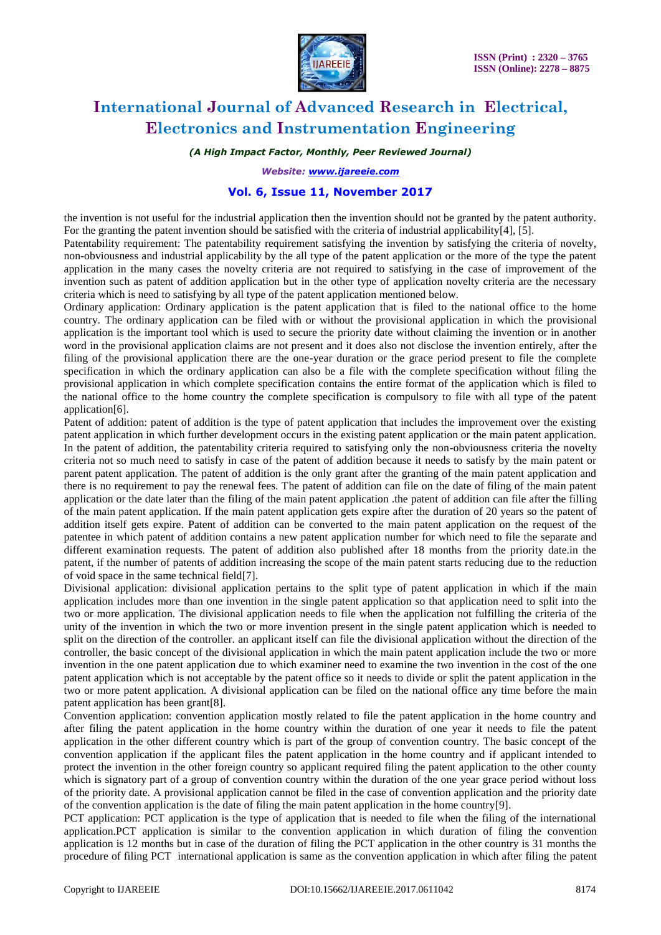

*(A High Impact Factor, Monthly, Peer Reviewed Journal)*

*Website: [www.ijareeie.com](http://www.ijareeie.com/)*

#### **Vol. 6, Issue 11, November 2017**

the invention is not useful for the industrial application then the invention should not be granted by the patent authority. For the granting the patent invention should be satisfied with the criteria of industrial applicability[4], [5].

Patentability requirement: The patentability requirement satisfying the invention by satisfying the criteria of novelty, non-obviousness and industrial applicability by the all type of the patent application or the more of the type the patent application in the many cases the novelty criteria are not required to satisfying in the case of improvement of the invention such as patent of addition application but in the other type of application novelty criteria are the necessary criteria which is need to satisfying by all type of the patent application mentioned below.

Ordinary application: Ordinary application is the patent application that is filed to the national office to the home country. The ordinary application can be filed with or without the provisional application in which the provisional application is the important tool which is used to secure the priority date without claiming the invention or in another word in the provisional application claims are not present and it does also not disclose the invention entirely, after the filing of the provisional application there are the one-year duration or the grace period present to file the complete specification in which the ordinary application can also be a file with the complete specification without filing the provisional application in which complete specification contains the entire format of the application which is filed to the national office to the home country the complete specification is compulsory to file with all type of the patent application[6].

Patent of addition: patent of addition is the type of patent application that includes the improvement over the existing patent application in which further development occurs in the existing patent application or the main patent application. In the patent of addition, the patentability criteria required to satisfying only the non-obviousness criteria the novelty criteria not so much need to satisfy in case of the patent of addition because it needs to satisfy by the main patent or parent patent application. The patent of addition is the only grant after the granting of the main patent application and there is no requirement to pay the renewal fees. The patent of addition can file on the date of filing of the main patent application or the date later than the filing of the main patent application .the patent of addition can file after the filling of the main patent application. If the main patent application gets expire after the duration of 20 years so the patent of addition itself gets expire. Patent of addition can be converted to the main patent application on the request of the patentee in which patent of addition contains a new patent application number for which need to file the separate and different examination requests. The patent of addition also published after 18 months from the priority date.in the patent, if the number of patents of addition increasing the scope of the main patent starts reducing due to the reduction of void space in the same technical field[7].

Divisional application: divisional application pertains to the split type of patent application in which if the main application includes more than one invention in the single patent application so that application need to split into the two or more application. The divisional application needs to file when the application not fulfilling the criteria of the unity of the invention in which the two or more invention present in the single patent application which is needed to split on the direction of the controller. an applicant itself can file the divisional application without the direction of the controller, the basic concept of the divisional application in which the main patent application include the two or more invention in the one patent application due to which examiner need to examine the two invention in the cost of the one patent application which is not acceptable by the patent office so it needs to divide or split the patent application in the two or more patent application. A divisional application can be filed on the national office any time before the main patent application has been grant[8].

Convention application: convention application mostly related to file the patent application in the home country and after filing the patent application in the home country within the duration of one year it needs to file the patent application in the other different country which is part of the group of convention country. The basic concept of the convention application if the applicant files the patent application in the home country and if applicant intended to protect the invention in the other foreign country so applicant required filing the patent application to the other county which is signatory part of a group of convention country within the duration of the one year grace period without loss of the priority date. A provisional application cannot be filed in the case of convention application and the priority date of the convention application is the date of filing the main patent application in the home country[9].

PCT application: PCT application is the type of application that is needed to file when the filing of the international application.PCT application is similar to the convention application in which duration of filing the convention application is 12 months but in case of the duration of filing the PCT application in the other country is 31 months the procedure of filing PCT international application is same as the convention application in which after filing the patent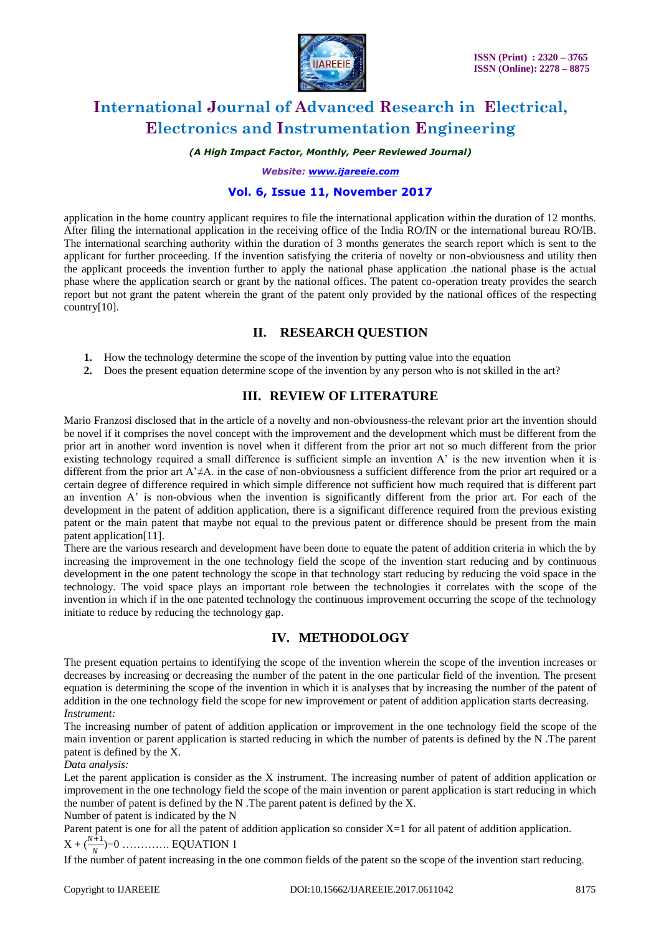

*(A High Impact Factor, Monthly, Peer Reviewed Journal)*

*Website: [www.ijareeie.com](http://www.ijareeie.com/)*

#### **Vol. 6, Issue 11, November 2017**

application in the home country applicant requires to file the international application within the duration of 12 months. After filing the international application in the receiving office of the India RO/IN or the international bureau RO/IB. The international searching authority within the duration of 3 months generates the search report which is sent to the applicant for further proceeding. If the invention satisfying the criteria of novelty or non-obviousness and utility then the applicant proceeds the invention further to apply the national phase application .the national phase is the actual phase where the application search or grant by the national offices. The patent co-operation treaty provides the search report but not grant the patent wherein the grant of the patent only provided by the national offices of the respecting country[10].

### **II. RESEARCH QUESTION**

- **1.** How the technology determine the scope of the invention by putting value into the equation
- **2.** Does the present equation determine scope of the invention by any person who is not skilled in the art?

### **III. REVIEW OF LITERATURE**

Mario Franzosi disclosed that in the article of a novelty and non-obviousness-the relevant prior art the invention should be novel if it comprises the novel concept with the improvement and the development which must be different from the prior art in another word invention is novel when it different from the prior art not so much different from the prior existing technology required a small difference is sufficient simple an invention A' is the new invention when it is different from the prior art A'≠A. in the case of non-obviousness a sufficient difference from the prior art required or a certain degree of difference required in which simple difference not sufficient how much required that is different part an invention A' is non-obvious when the invention is significantly different from the prior art. For each of the development in the patent of addition application, there is a significant difference required from the previous existing patent or the main patent that maybe not equal to the previous patent or difference should be present from the main patent application[11].

There are the various research and development have been done to equate the patent of addition criteria in which the by increasing the improvement in the one technology field the scope of the invention start reducing and by continuous development in the one patent technology the scope in that technology start reducing by reducing the void space in the technology. The void space plays an important role between the technologies it correlates with the scope of the invention in which if in the one patented technology the continuous improvement occurring the scope of the technology initiate to reduce by reducing the technology gap.

### **IV. METHODOLOGY**

The present equation pertains to identifying the scope of the invention wherein the scope of the invention increases or decreases by increasing or decreasing the number of the patent in the one particular field of the invention. The present equation is determining the scope of the invention in which it is analyses that by increasing the number of the patent of addition in the one technology field the scope for new improvement or patent of addition application starts decreasing. *Instrument:* 

The increasing number of patent of addition application or improvement in the one technology field the scope of the main invention or parent application is started reducing in which the number of patents is defined by the N .The parent patent is defined by the X.

#### *Data analysis:*

Let the parent application is consider as the X instrument. The increasing number of patent of addition application or improvement in the one technology field the scope of the main invention or parent application is start reducing in which the number of patent is defined by the N .The parent patent is defined by the X.

Number of patent is indicated by the N

Parent patent is one for all the patent of addition application so consider  $X=1$  for all patent of addition application.  $X + (\frac{N+1}{N}) = 0$  .............. EQUATION 1

If the number of patent increasing in the one common fields of the patent so the scope of the invention start reducing.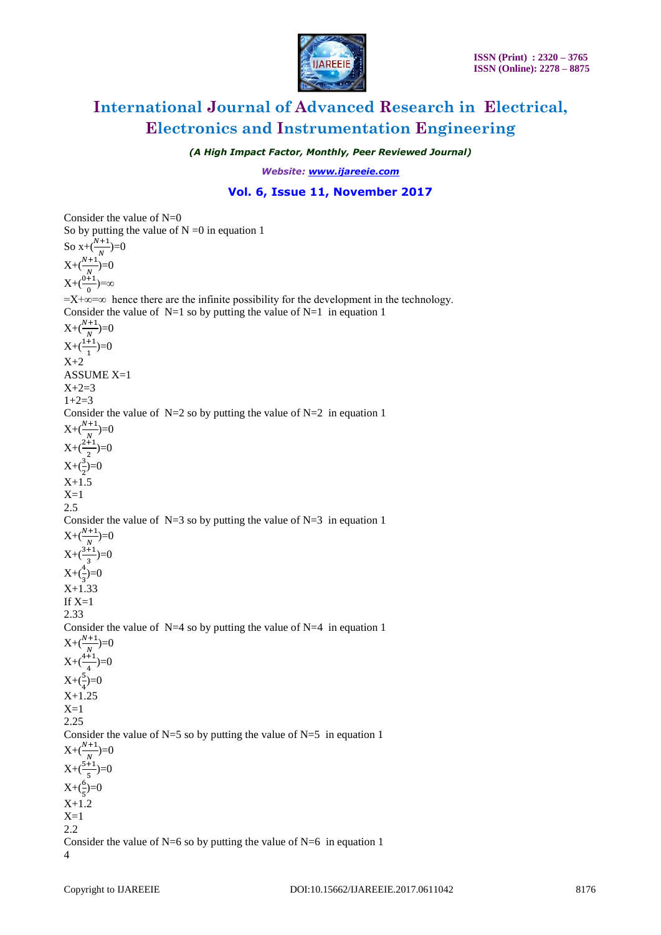

*(A High Impact Factor, Monthly, Peer Reviewed Journal)*

*Website: [www.ijareeie.com](http://www.ijareeie.com/)*

#### **Vol. 6, Issue 11, November 2017**

Consider the value of  $N=0$ So by putting the value of  $N = 0$  in equation 1 So  $x+(\frac{N+1}{N})=0$  $X + \left(\frac{N+1}{N}\right) = 0$  $X+(\frac{0+1}{0})=\infty$  $=X+\infty=\infty$  hence there are the infinite possibility for the development in the technology. Consider the value of  $N=1$  so by putting the value of  $N=1$  in equation 1  $X + \left(\frac{N+1}{N}\right) = 0$  $X+(\frac{1+1}{1})=0$  $X+2$ ASSUME X=1  $X+2=3$  $1+2=3$ Consider the value of  $N=2$  so by putting the value of  $N=2$  in equation 1  $X + \left(\frac{N+1}{N}\right) = 0$  $X+(\frac{2+1}{2})=0$  $X+(\frac{3}{2})=0$  $X+1.5$  $X=1$  $2.5$ Consider the value of  $N=3$  so by putting the value of  $N=3$  in equation 1  $X + \left(\frac{N+1}{N}\right) = 0$  $X+(\frac{3+1}{3})=0$  $X+(\frac{4}{3})=0$ X+1.33 If  $X=1$ 2.33 Consider the value of  $N=4$  so by putting the value of  $N=4$  in equation 1  $X + \left(\frac{N+1}{N}\right) = 0$  $X+(\frac{4+1}{4})=0$  $X + (\frac{5}{4}) = 0$  $X+1.25$  $X=1$ 2.25 Consider the value of  $N=5$  so by putting the value of  $N=5$  in equation 1  $X + \left(\frac{N+1}{N}\right) = 0$  $X+(\frac{5+1}{5})=0$  $X+(\frac{6}{5})=0$ X+1.2  $X=1$ 2.2 Consider the value of  $N=6$  so by putting the value of  $N=6$  in equation 1 4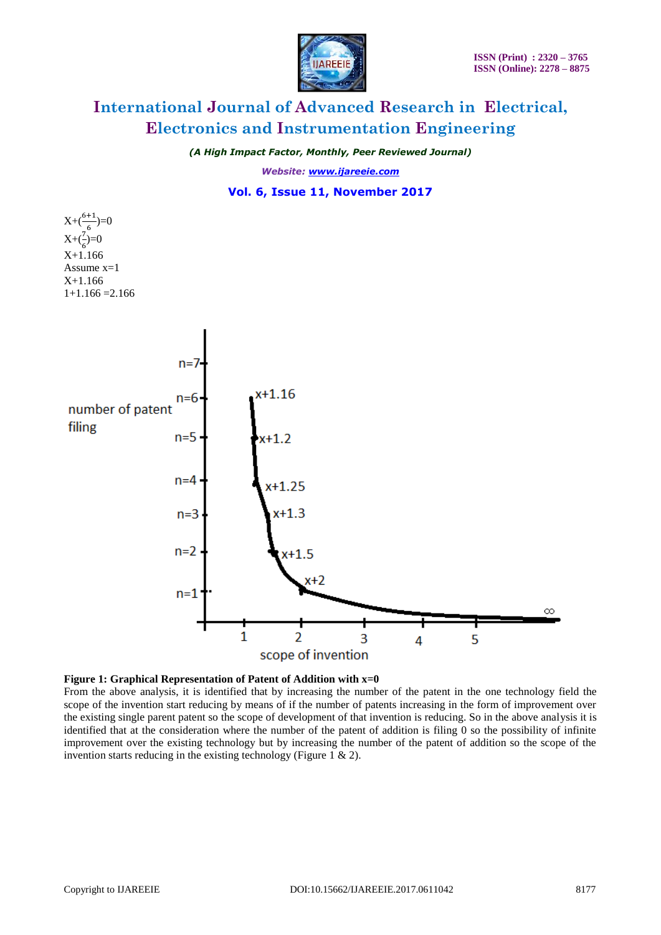

*(A High Impact Factor, Monthly, Peer Reviewed Journal)*

*Website: [www.ijareeie.com](http://www.ijareeie.com/)*

#### **Vol. 6, Issue 11, November 2017**







From the above analysis, it is identified that by increasing the number of the patent in the one technology field the scope of the invention start reducing by means of if the number of patents increasing in the form of improvement over the existing single parent patent so the scope of development of that invention is reducing. So in the above analysis it is identified that at the consideration where the number of the patent of addition is filing 0 so the possibility of infinite improvement over the existing technology but by increasing the number of the patent of addition so the scope of the invention starts reducing in the existing technology (Figure 1 & 2).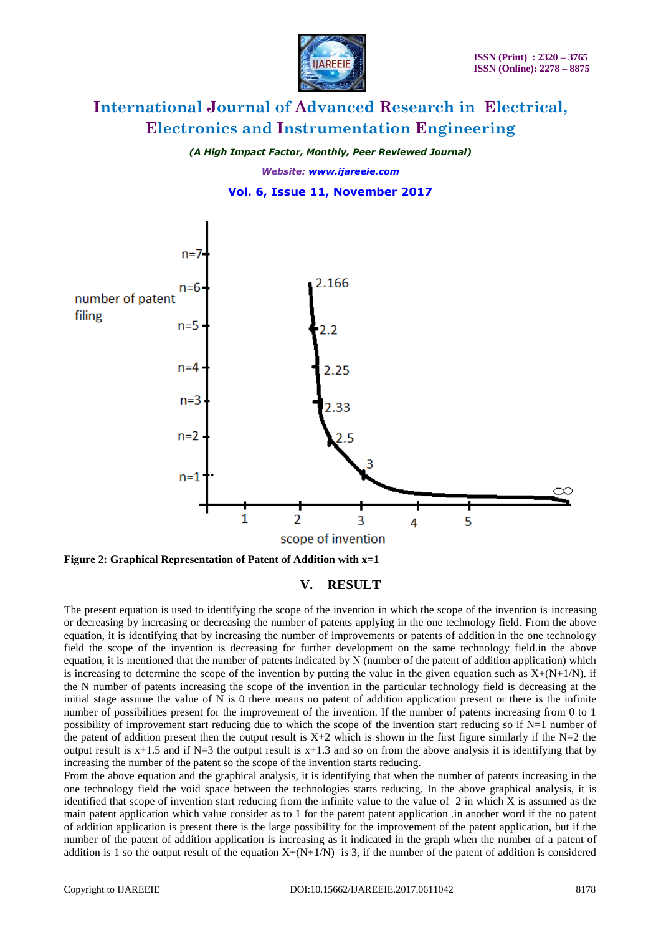

*(A High Impact Factor, Monthly, Peer Reviewed Journal) Website: [www.ijareeie.com](http://www.ijareeie.com/)*





**Figure 2: Graphical Representation of Patent of Addition with x=1**

**V. RESULT**

The present equation is used to identifying the scope of the invention in which the scope of the invention is increasing or decreasing by increasing or decreasing the number of patents applying in the one technology field. From the above equation, it is identifying that by increasing the number of improvements or patents of addition in the one technology field the scope of the invention is decreasing for further development on the same technology field.in the above equation, it is mentioned that the number of patents indicated by N (number of the patent of addition application) which is increasing to determine the scope of the invention by putting the value in the given equation such as  $X+(N+1/N)$ . if the N number of patents increasing the scope of the invention in the particular technology field is decreasing at the initial stage assume the value of N is 0 there means no patent of addition application present or there is the infinite number of possibilities present for the improvement of the invention. If the number of patents increasing from 0 to 1 possibility of improvement start reducing due to which the scope of the invention start reducing so if N=1 number of the patent of addition present then the output result is  $X+2$  which is shown in the first figure similarly if the N=2 the output result is  $x+1.5$  and if N=3 the output result is  $x+1.3$  and so on from the above analysis it is identifying that by increasing the number of the patent so the scope of the invention starts reducing.

From the above equation and the graphical analysis, it is identifying that when the number of patents increasing in the one technology field the void space between the technologies starts reducing. In the above graphical analysis, it is identified that scope of invention start reducing from the infinite value to the value of  $2$  in which X is assumed as the main patent application which value consider as to 1 for the parent patent application .in another word if the no patent of addition application is present there is the large possibility for the improvement of the patent application, but if the number of the patent of addition application is increasing as it indicated in the graph when the number of a patent of addition is 1 so the output result of the equation  $X+(N+1/N)$  is 3, if the number of the patent of addition is considered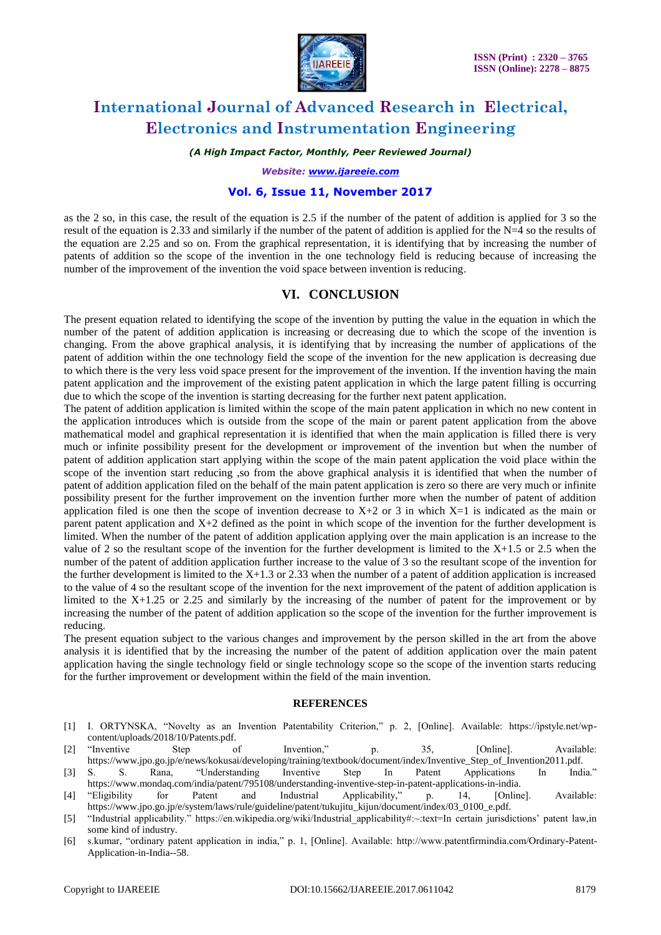

*(A High Impact Factor, Monthly, Peer Reviewed Journal)*

*Website: [www.ijareeie.com](http://www.ijareeie.com/)*

#### **Vol. 6, Issue 11, November 2017**

as the 2 so, in this case, the result of the equation is 2.5 if the number of the patent of addition is applied for 3 so the result of the equation is 2.33 and similarly if the number of the patent of addition is applied for the  $N=4$  so the results of the equation are 2.25 and so on. From the graphical representation, it is identifying that by increasing the number of patents of addition so the scope of the invention in the one technology field is reducing because of increasing the number of the improvement of the invention the void space between invention is reducing.

### **VI. CONCLUSION**

The present equation related to identifying the scope of the invention by putting the value in the equation in which the number of the patent of addition application is increasing or decreasing due to which the scope of the invention is changing. From the above graphical analysis, it is identifying that by increasing the number of applications of the patent of addition within the one technology field the scope of the invention for the new application is decreasing due to which there is the very less void space present for the improvement of the invention. If the invention having the main patent application and the improvement of the existing patent application in which the large patent filling is occurring due to which the scope of the invention is starting decreasing for the further next patent application.

The patent of addition application is limited within the scope of the main patent application in which no new content in the application introduces which is outside from the scope of the main or parent patent application from the above mathematical model and graphical representation it is identified that when the main application is filled there is very much or infinite possibility present for the development or improvement of the invention but when the number of patent of addition application start applying within the scope of the main patent application the void place within the scope of the invention start reducing ,so from the above graphical analysis it is identified that when the number of patent of addition application filed on the behalf of the main patent application is zero so there are very much or infinite possibility present for the further improvement on the invention further more when the number of patent of addition application filed is one then the scope of invention decrease to  $X+2$  or 3 in which  $X=1$  is indicated as the main or parent patent application and X+2 defined as the point in which scope of the invention for the further development is limited. When the number of the patent of addition application applying over the main application is an increase to the value of 2 so the resultant scope of the invention for the further development is limited to the  $X+1.5$  or 2.5 when the number of the patent of addition application further increase to the value of 3 so the resultant scope of the invention for the further development is limited to the  $X+1.3$  or 2.33 when the number of a patent of addition application is increased to the value of 4 so the resultant scope of the invention for the next improvement of the patent of addition application is limited to the X+1.25 or 2.25 and similarly by the increasing of the number of patent for the improvement or by increasing the number of the patent of addition application so the scope of the invention for the further improvement is reducing.

The present equation subject to the various changes and improvement by the person skilled in the art from the above analysis it is identified that by the increasing the number of the patent of addition application over the main patent application having the single technology field or single technology scope so the scope of the invention starts reducing for the further improvement or development within the field of the main invention.

#### **REFERENCES**

- [1] I. ORTYNSKA, "Novelty as an Invention Patentability Criterion," p. 2, [Online]. Available: https://ipstyle.net/wpcontent/uploads/2018/10/Patents.pdf.
- [2] "Inventive Step of Invention," p. 35, [Online]. Available: https://www.jpo.go.jp/e/news/kokusai/developing/training/textbook/document/index/Inventive\_Step\_of\_Invention2011.pdf. [3] S. S. Rana, "Understanding Inventive Step In Patent Applications In India."
- https://www.mondaq.com/india/patent/795108/understanding-inventive-step-in-patent-applications-in-india.
- [4] "Eligibility for Patent and Industrial Applicability," p. 14, [Online]. Available: https://www.jpo.go.jp/e/system/laws/rule/guideline/patent/tukujitu\_kijun/document/index/03\_0100\_e.pdf.
- [5] "Industrial applicability." https://en.wikipedia.org/wiki/Industrial\_applicability#:~:text=In certain jurisdictions' patent law,in some kind of industry.
- [6] s.kumar, "ordinary patent application in india," p. 1, [Online]. Available: http://www.patentfirmindia.com/Ordinary-Patent-Application-in-India--58.